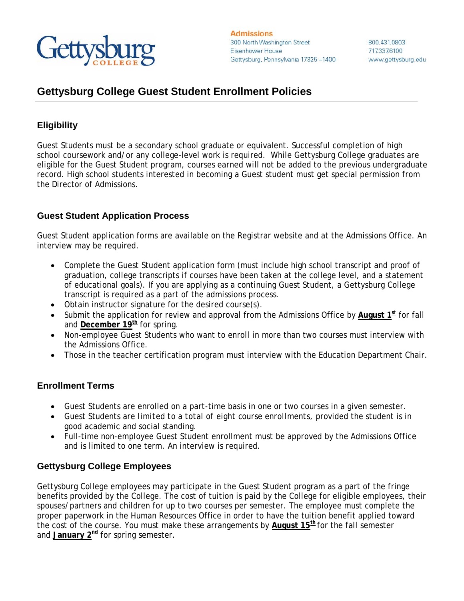

## **Gettysburg College Guest Student Enrollment Policies**

### **Eligibility**

Guest Students must be a secondary school graduate or equivalent. Successful completion of high school coursework and/or any college-level work is required. While Gettysburg College graduates are eligible for the Guest Student program, courses earned will not be added to the previous undergraduate record. High school students interested in becoming a Guest student must get special permission from the Director of Admissions.

### **Guest Student Application Process**

Guest Student application forms are available on the Registrar website and at the Admissions Office. An interview may be required.

- Complete the Guest Student application form (must include high school transcript and proof of graduation, college transcripts if courses have been taken at the college level, and a statement of educational goals). If you are applying as a continuing Guest Student, a Gettysburg College transcript is required as a part of the admissions process.
- Obtain instructor signature for the desired course(s).
- Submit the application for review and approval from the Admissions Office by August 1<sup>st</sup> for fall and **December 19<sup>th</sup>** for spring.
- Non-employee Guest Students who want to enroll in more than two courses must interview with the Admissions Office.
- Those in the teacher certification program must interview with the Education Department Chair.

#### **Enrollment Terms**

- Guest Students are enrolled on a part-time basis in one or two courses in a given semester.
- Guest Students are *limited to a total of eight course enrollments,* provided the student is in good academic and social standing.
- Full-time non-employee Guest Student enrollment must be approved by the Admissions Office and is limited to one term. An interview is required.

## **Gettysburg College Employees**

Gettysburg College employees may participate in the Guest Student program as a part of the fringe benefits provided by the College. The cost of tuition is paid by the College for eligible employees, their spouses/partners and children for up to two courses per semester. The employee must complete the proper paperwork in the Human Resources Office in order to have the tuition benefit applied toward the cost of the course. You must make these arrangements by **August 15th** for the fall semester and **January** 2<sup>nd</sup> for spring semester.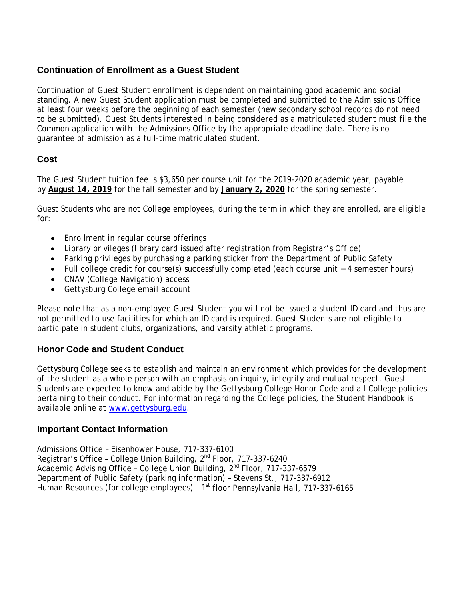### **Continuation of Enrollment as a Guest Student**

Continuation of Guest Student enrollment is dependent on maintaining good academic and social standing. A new Guest Student application must be completed and submitted to the Admissions Office at least four weeks before the beginning of each semester (new secondary school records do not need to be submitted). Guest Students interested in being considered as a matriculated student must file the Common application with the Admissions Office by the appropriate deadline date. There is no guarantee of admission as a full-time matriculated student.

## **Cost**

The Guest Student tuition fee is \$3,650 per course unit for the 2019-2020 academic year, payable by **August 14, 2019** for the fall semester and by **January 2, 2020** for the spring semester.

Guest Students who are not College employees, during the term in which they are enrolled, are eligible for:

- Enrollment in regular course offerings
- Library privileges (library card issued after registration from Registrar's Office)
- Parking privileges by purchasing a parking sticker from the Department of Public Safety
- Full college credit for course(s) successfully completed (each course unit = 4 semester hours)
- CNAV (College Navigation) access
- Gettysburg College email account

Please note that as a non-employee Guest Student you will not be issued a student ID card and thus are not permitted to use facilities for which an ID card is required. Guest Students are not eligible to participate in student clubs, organizations, and varsity athletic programs.

#### **Honor Code and Student Conduct**

Gettysburg College seeks to establish and maintain an environment which provides for the development of the student as a whole person with an emphasis on inquiry, integrity and mutual respect. Guest Students are expected to know and abide by the Gettysburg College Honor Code and all College policies pertaining to their conduct. For information regarding the College policies, the Student Handbook is available online at [www.gettysburg.edu.](http://www.gettysburg.edu/)

#### **Important Contact Information**

Admissions Office – Eisenhower House, 717-337-6100 Registrar's Office - College Union Building, 2<sup>nd</sup> Floor, 717-337-6240 Academic Advising Office - College Union Building, 2<sup>nd</sup> Floor, 717-337-6579 Department of Public Safety (parking information) – Stevens St., 717-337-6912 Human Resources (for college employees) -  $1<sup>st</sup>$  floor Pennsylvania Hall, 717-337-6165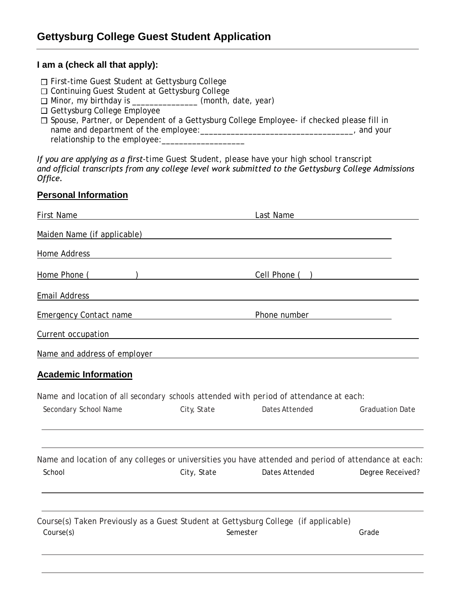#### **I am a (check all that apply):**

- □ First-time Guest Student at Gettysburg College
- □ Continuing Guest Student at Gettysburg College
- $\Box$  Minor, my birthday is \_\_\_\_\_\_\_\_\_\_\_\_\_\_\_(month, date, year)
- Gettysburg College Employee
- $\square$  Spouse, Partner, or Dependent of a Gettysburg College Employee- if checked please fill in name and department of the employee:\_\_\_\_\_\_\_\_\_\_\_\_\_\_\_\_\_\_\_\_\_\_\_\_\_\_\_\_\_\_\_\_\_\_\_, and your relationship to the employee:\_\_\_\_\_\_\_\_\_\_\_\_\_\_\_\_\_\_\_

*If you are applying as a first-time Guest Student, please have your high school transcript and official transcripts from any college level work submitted to the Gettysburg College Admissions Office.*

#### **Personal Information**

| <b>First Name</b>                                                                                               |                                                                | Last Name             |                        |
|-----------------------------------------------------------------------------------------------------------------|----------------------------------------------------------------|-----------------------|------------------------|
| Maiden Name (if applicable)                                                                                     |                                                                |                       |                        |
| Home Address                                                                                                    |                                                                |                       |                        |
| Home Phone (                                                                                                    | ) and the contract of the contract of $\overline{\phantom{a}}$ | Cell Phone (          |                        |
| <b>Email Address</b>                                                                                            |                                                                |                       |                        |
| <b>Emergency Contact name</b>                                                                                   |                                                                | Phone number          |                        |
| Current occupation                                                                                              |                                                                |                       |                        |
| Name and address of employer                                                                                    |                                                                |                       |                        |
| <b>Academic Information</b>                                                                                     |                                                                |                       |                        |
| Name and location of all secondary schools attended with period of attendance at each:                          |                                                                |                       |                        |
| Secondary School Name                                                                                           | City, State                                                    | <b>Dates Attended</b> | <b>Graduation Date</b> |
| Name and location of any colleges or universities you have attended and period of attendance at each:<br>School | City, State                                                    | Dates Attended        | Degree Received?       |
|                                                                                                                 |                                                                |                       |                        |
| Course(s) Taken Previously as a Guest Student at Gettysburg College (if applicable)<br>Course(s)                |                                                                | Semester              | Grade                  |
|                                                                                                                 |                                                                |                       |                        |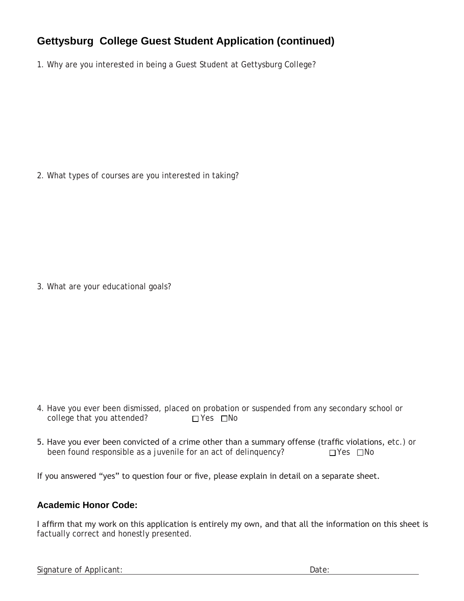# **Gettysburg College Guest Student Application (continued)**

1. Why are you interested in being a Guest Student at Gettysburg College?

2. What types of courses are you interested in taking?

3. What are your educational goals?

- 4. Have you ever been dismissed, placed on probation or suspended from any secondary school or college that you attended?  $\Box$  Yes  $\Box$  No
- 5. Have you ever been convicted of a crime other than a summary offense (traffic violations, etc.) or been found responsible as a juvenile for an act of delinquency?  $\square$  Yes  $\square$  No been found responsible as a juvenile for an act of delinquency?

If you answered "yes" to question four or five, please explain in detail on a separate sheet.

## **Academic Honor Code:**

I affirm that my work on this application is entirely my own, and that all the information on this sheet is factually correct and honestly presented.

Signature of Applicant: **Date:** Date: Date: **Date:** Date: **Date:** Date: **Date: Date: Date: Date: Date: Date: Date: Date: Date: Date: Date: Date: Date: Date: Date: Date: Date: Date: Date:**